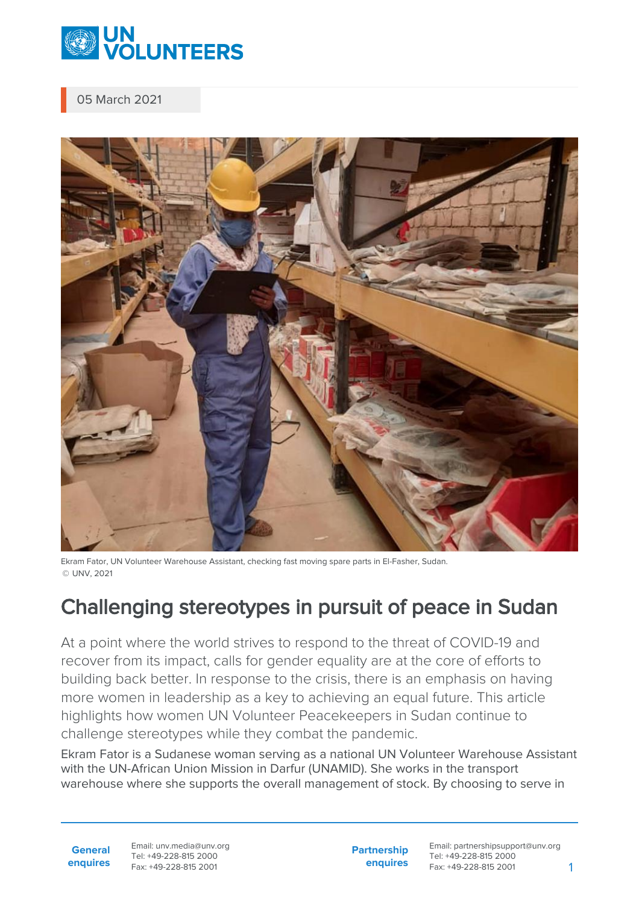

05 March 2021



Ekram Fator, UN Volunteer Warehouse Assistant, checking fast moving spare parts in El-Fasher, Sudan. © UNV, 2021

## Challenging stereotypes in pursuit of peace in Sudan

At a point where the world strives to respond to the threat of COVID-19 and recover from its impact, calls for gender equality are at the core of efforts to building back better. In response to the crisis, there is an emphasis on having more women in leadership as a key to achieving an equal future. This article highlights how women UN Volunteer Peacekeepers in Sudan continue to challenge stereotypes while they combat the pandemic.

Ekram Fator is a Sudanese woman serving as a national UN Volunteer Warehouse Assistant with the UN-African Union Mission in Darfur (UNAMID). She works in the transport warehouse where she supports the overall management of stock. By choosing to serve in

**General enquires** Email: unv.media@unv.org Tel: +49-228-815 2000 Fax: +49-228-815 2001

**Partnership enquires**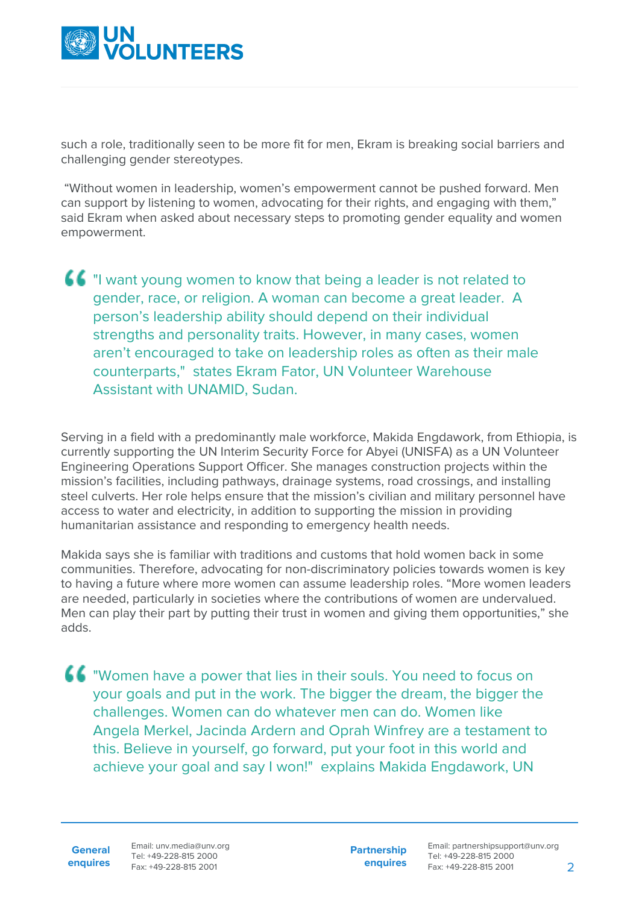

such a role, traditionally seen to be more fit for men, Ekram is breaking social barriers and challenging gender stereotypes.

 "Without women in leadership, women's empowerment cannot be pushed forward. Men can support by listening to women, advocating for their rights, and engaging with them," said Ekram when asked about necessary steps to promoting gender equality and women empowerment.

"I want young women to know that being a leader is not related to gender, race, or religion. A woman can become a great leader. A person's leadership ability should depend on their individual strengths and personality traits. However, in many cases, women aren't encouraged to take on leadership roles as often as their male counterparts," states Ekram Fator, UN Volunteer Warehouse Assistant with UNAMID, Sudan.

Serving in a field with a predominantly male workforce, Makida Engdawork, from Ethiopia, is currently supporting the UN Interim Security Force for Abyei (UNISFA) as a UN Volunteer Engineering Operations Support Officer. She manages construction projects within the mission's facilities, including pathways, drainage systems, road crossings, and installing steel culverts. Her role helps ensure that the mission's civilian and military personnel have access to water and electricity, in addition to supporting the mission in providing humanitarian assistance and responding to emergency health needs.

Makida says she is familiar with traditions and customs that hold women back in some communities. Therefore, advocating for non-discriminatory policies towards women is key to having a future where more women can assume leadership roles. "More women leaders are needed, particularly in societies where the contributions of women are undervalued. Men can play their part by putting their trust in women and giving them opportunities," she adds.

"Women have a power that lies in their souls. You need to focus on your goals and put in the work. The bigger the dream, the bigger the challenges. Women can do whatever men can do. Women like Angela Merkel, Jacinda Ardern and Oprah Winfrey are a testament to this. Believe in yourself, go forward, put your foot in this world and achieve your goal and say I won!" explains Makida Engdawork, UN

**General enquires** Email: unv.media@unv.org Tel: +49-228-815 2000 Fax: +49-228-815 2001

**Partnership enquires**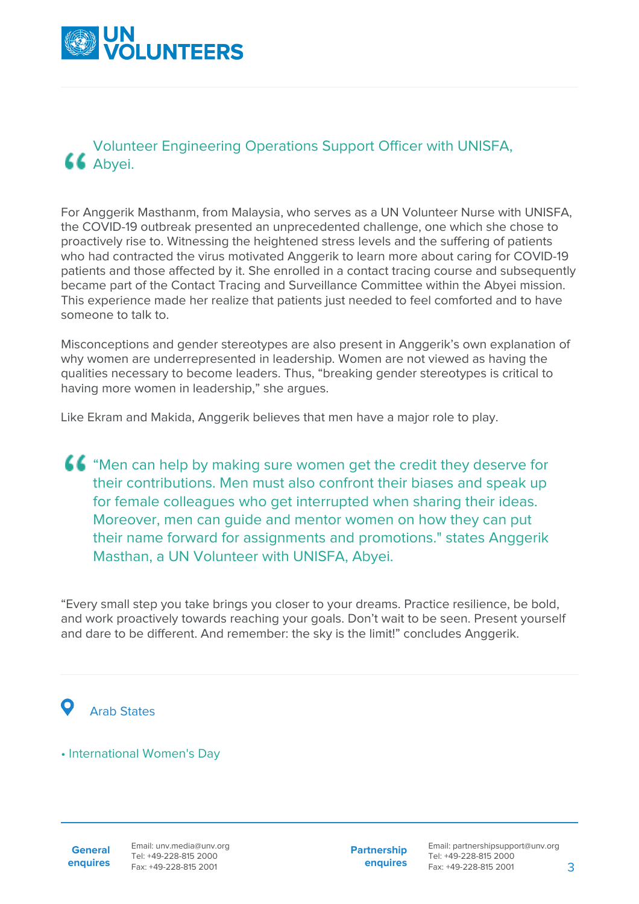

## Volunteer Engineering Operations Support Officer with UNISFA, 66 Abyei.

For Anggerik Masthanm, from Malaysia, who serves as a UN Volunteer Nurse with UNISFA, the COVID-19 outbreak presented an unprecedented challenge, one which she chose to proactively rise to. Witnessing the heightened stress levels and the suffering of patients who had contracted the virus motivated Anggerik to learn more about caring for COVID-19 patients and those affected by it. She enrolled in a contact tracing course and subsequently became part of the Contact Tracing and Surveillance Committee within the Abyei mission. This experience made her realize that patients just needed to feel comforted and to have someone to talk to.

Misconceptions and gender stereotypes are also present in Anggerik's own explanation of why women are underrepresented in leadership. Women are not viewed as having the qualities necessary to become leaders. Thus, "breaking gender stereotypes is critical to having more women in leadership," she argues.

Like Ekram and Makida, Anggerik believes that men have a major role to play.

"Men can help by making sure women get the credit they deserve for their contributions. Men must also confront their biases and speak up for female colleagues who get interrupted when sharing their ideas. Moreover, men can guide and mentor women on how they can put their name forward for assignments and promotions." states Anggerik Masthan, a UN Volunteer with UNISFA, Abyei.

"Every small step you take brings you closer to your dreams. Practice resilience, be bold, and work proactively towards reaching your goals. Don't wait to be seen. Present yourself and dare to be different. And remember: the sky is the limit!" concludes Anggerik.

## Arab States

## • International Women's Day

**General enquires** **Partnership enquires**